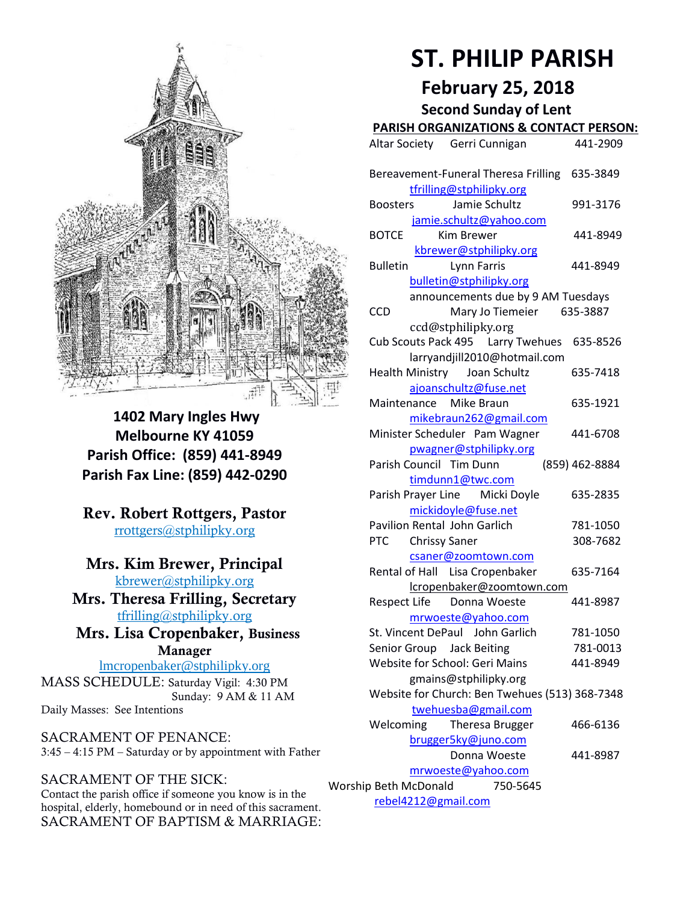

**1402 Mary Ingles Hwy Melbourne KY 41059 Parish Office: (859) 441-8949 Parish Fax Line: (859) 442-0290**

**Rev. Robert Rottgers, Pastor**  [rrottgers@stphilipky.org](mailto:rrottgers@stphilipky.org)

# **Mrs. Kim Brewer, Principal**

[kbrewer@stphilipky.org](mailto:kbrewer@stphilipky.org) **Mrs. Theresa Frilling, Secretary**  [tfrilling@stphilipky.org](mailto:tfrilling@stphilipky.org)

 **Mrs. Lisa Cropenbaker, Business Manager** 

lmcropenbaker@stphilipky.org MASS SCHEDULE: Saturday Vigil: 4:30 PM Sunday: 9 AM & 11 AM Daily Masses: See Intentions

SACRAMENT OF PENANCE: 3:45 – 4:15 PM – Saturday or by appointment with Father

# SACRAMENT OF THE SICK:

Contact the parish office if someone you know is in the hospital, elderly, homebound or in need of this sacrament. SACRAMENT OF BAPTISM & MARRIAGE:

# **ST. PHILIP PARISH**

**February 25, 2018**

**Second Sunday of Lent** 

# **PARISH ORGANIZATIONS & CONTACT PERSON:**

|                                                                       | Altar Society Gerri Cunnigan                                                        | 441-2909             |
|-----------------------------------------------------------------------|-------------------------------------------------------------------------------------|----------------------|
|                                                                       | Bereavement-Funeral Theresa Frilling<br>tfrilling@stphilipky.org                    | 635-3849             |
|                                                                       | Jamie Schultz<br>Boosters                                                           | 991-3176             |
|                                                                       | jamie.schultz@yahoo.com<br>Kim Brewer<br><b>BOTCE</b>                               | 441-8949             |
|                                                                       | kbrewer@stphilipky.org<br><b>Bulletin</b><br>Lynn Farris<br>bulletin@stphilipky.org | 441-8949             |
|                                                                       | announcements due by 9 AM Tuesdays<br><b>CCD</b><br>Mary Jo Tiemeier 635-3887       |                      |
|                                                                       | ccd@stphilipky.org<br>Cub Scouts Pack 495   Larry Twehues                           | 635-8526             |
|                                                                       | larryandjill2010@hotmail.com<br>Health Ministry Joan Schultz                        | 635-7418             |
|                                                                       | ajoanschultz@fuse.net<br>Maintenance Mike Braun                                     | 635-1921             |
|                                                                       | mikebraun262@gmail.com<br>Minister Scheduler Pam Wagner                             | 441-6708             |
|                                                                       | pwagner@stphilipky.org<br>Parish Council Tim Dunn                                   | (859) 462-8884       |
|                                                                       | timdunn1@twc.com<br>Parish Prayer Line Micki Doyle                                  | 635-2835             |
|                                                                       | mickidoyle@fuse.net<br><b>Pavilion Rental John Garlich</b>                          | 781-1050             |
|                                                                       | <b>Chrissy Saner</b><br><b>PTC</b><br>csaner@zoomtown.com                           | 308-7682             |
|                                                                       | Rental of Hall Lisa Cropenbaker<br>lcropenbaker@zoomtown.com                        | 635-7164             |
|                                                                       | Respect Life Donna Woeste<br>mrwoeste@yahoo.com                                     | 441-8987             |
|                                                                       | St. Vincent DePaul John Garlich<br>Senior Group<br><b>Jack Beiting</b>              | 781-1050<br>781-0013 |
|                                                                       | Website for School: Geri Mains<br>gmains@stphilipky.org                             | 441-8949             |
| Website for Church: Ben Twehues (513) 368-7348<br>twehuesba@gmail.com |                                                                                     |                      |
|                                                                       | Welcoming<br>Theresa Brugger<br>brugger5ky@juno.com                                 | 466-6136             |
|                                                                       | Donna Woeste<br>mrwoeste@yahoo.com                                                  | 441-8987             |
| Worship Beth McDonald<br>750-5645                                     |                                                                                     |                      |
| rebel4212@gmail.com                                                   |                                                                                     |                      |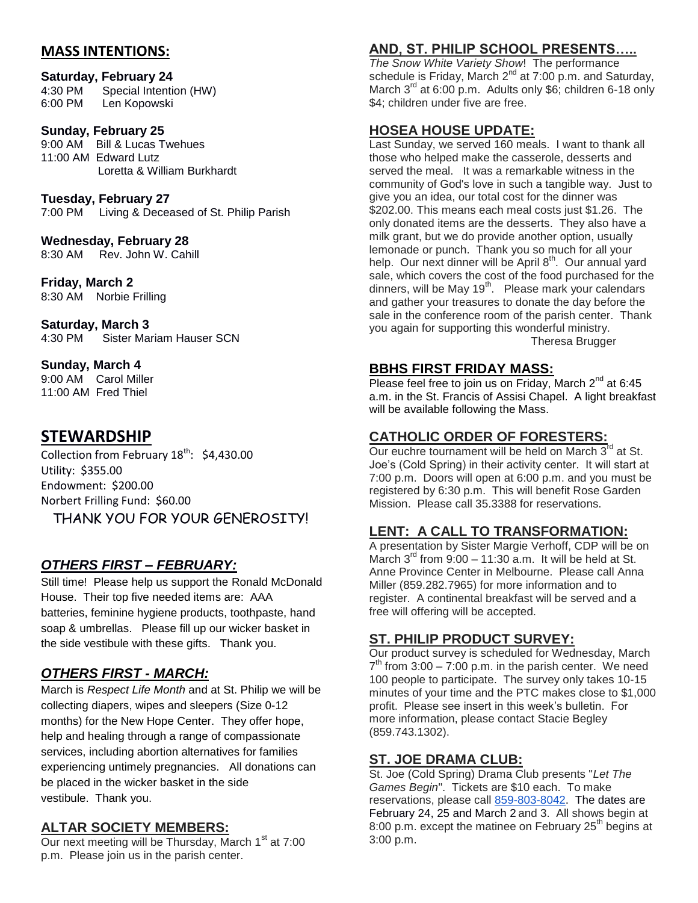## **MASS INTENTIONS:**

#### **Saturday, February 24**

4:30 PM Special Intention (HW) 6:00 PM Len Kopowski

#### **Sunday, February 25**

9:00 AM Bill & Lucas Twehues 11:00 AM Edward Lutz Loretta & William Burkhardt

#### **Tuesday, February 27**

7:00 PM Living & Deceased of St. Philip Parish

#### **Wednesday, February 28**

8:30 AM Rev. John W. Cahill

#### **Friday, March 2**

8:30 AM Norbie Frilling

#### **Saturday, March 3**

4:30 PM Sister Mariam Hauser SCN

#### **Sunday, March 4**

9:00 AM Carol Miller 11:00 AM Fred Thiel

# **STEWARDSHIP**

Collection from February  $18^{th}$ : \$4,430.00 Utility: \$355.00 Endowment: \$200.00 Norbert Frilling Fund: \$60.00 THANK YOU FOR YOUR GENEROSITY!

#### *OTHERS FIRST – FEBRUARY:*

Still time! Please help us support the Ronald McDonald House. Their top five needed items are: AAA batteries, feminine hygiene products, toothpaste, hand soap & umbrellas. Please fill up our wicker basket in the side vestibule with these gifts. Thank you.

## *OTHERS FIRST - MARCH:*

March is *Respect Life Month* and at St. Philip we will be collecting diapers, wipes and sleepers (Size 0-12 months) for the New Hope Center. They offer hope, help and healing through a range of compassionate services, including abortion alternatives for families experiencing untimely pregnancies. All donations can be placed in the wicker basket in the side vestibule. Thank you.

#### **ALTAR SOCIETY MEMBERS:**

Our next meeting will be Thursday, March  $1<sup>st</sup>$  at 7:00 p.m. Please join us in the parish center.

## **AND, ST. PHILIP SCHOOL PRESENTS…..**

*The Snow White Variety Show*! The performance schedule is Friday, March  $2^{nd}$  at 7:00 p.m. and Saturday, March  $3^{rd}$  at 6:00 p.m. Adults only \$6; children 6-18 only \$4; children under five are free.

#### **HOSEA HOUSE UPDATE:**

Last Sunday, we served 160 meals. I want to thank all those who helped make the casserole, desserts and served the meal. It was a remarkable witness in the community of God's love in such a tangible way. Just to give you an idea, our total cost for the dinner was \$202.00. This means each meal costs just \$1.26. The only donated items are the desserts. They also have a milk grant, but we do provide another option, usually lemonade or punch. Thank you so much for all your help. Our next dinner will be April 8<sup>th</sup>. Our annual yard sale, which covers the cost of the food purchased for the dinners, will be May  $19<sup>th</sup>$ . Please mark your calendars and gather your treasures to donate the day before the sale in the conference room of the parish center. Thank you again for supporting this wonderful ministry. Theresa Brugger

#### **BBHS FIRST FRIDAY MASS:**

Please feel free to join us on Friday, March  $2^{nd}$  at 6:45 a.m. in the St. Francis of Assisi Chapel. A light breakfast will be available following the Mass.

#### **CATHOLIC ORDER OF FORESTERS:**

Our euchre tournament will be held on March 3<sup>rd</sup> at St. Joe's (Cold Spring) in their activity center. It will start at 7:00 p.m. Doors will open at 6:00 p.m. and you must be registered by 6:30 p.m. This will benefit Rose Garden Mission. Please call 35.3388 for reservations.

## **LENT: A CALL TO TRANSFORMATION:**

A presentation by Sister Margie Verhoff, CDP will be on March  $3^{rd}$  from  $9.00 - 11.30$  a.m. It will be held at St. Anne Province Center in Melbourne. Please call Anna Miller (859.282.7965) for more information and to register. A continental breakfast will be served and a free will offering will be accepted.

#### **ST. PHILIP PRODUCT SURVEY:**

Our product survey is scheduled for Wednesday, March  $7<sup>th</sup>$  from 3:00 – 7:00 p.m. in the parish center. We need 100 people to participate. The survey only takes 10-15 minutes of your time and the PTC makes close to \$1,000 profit. Please see insert in this week's bulletin. For more information, please contact Stacie Begley (859.743.1302).

#### **ST. JOE DRAMA CLUB:**

St. Joe (Cold Spring) Drama Club presents "*Let The Games Begin*". Tickets are \$10 each. To make reservations, please call [859-803-8042.](tel:859-803-8042) The dates are February 24, 25 and March 2 and 3. All shows begin at 8:00 p.m. except the matinee on February  $25<sup>th</sup>$  begins at 3:00 p.m.